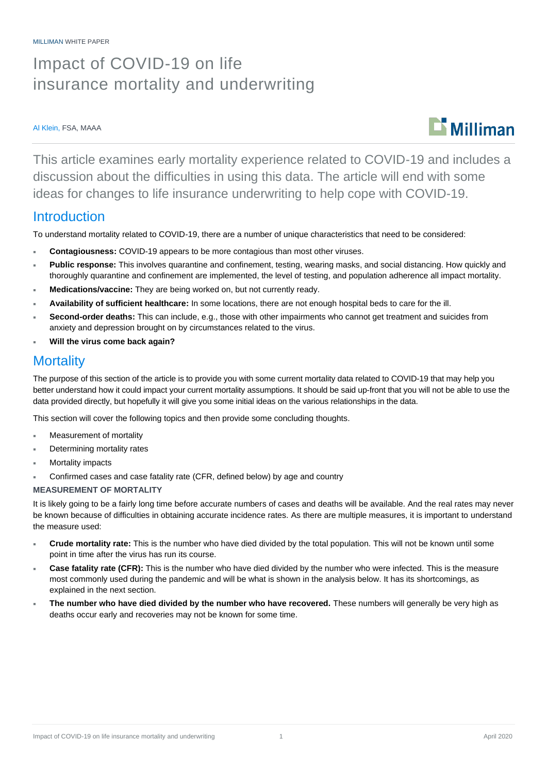# Impact of COVID-19 on life insurance mortality and underwriting

#### Al Klein, FSA, MAAA



This article examines early mortality experience related to COVID-19 and includes a discussion about the difficulties in using this data. The article will end with some ideas for changes to life insurance underwriting to help cope with COVID-19.

### Introduction

To understand mortality related to COVID-19, there are a number of unique characteristics that need to be considered:

- **Contagiousness:** COVID-19 appears to be more contagious than most other viruses.
- **Public response:** This involves quarantine and confinement, testing, wearing masks, and social distancing. How quickly and thoroughly quarantine and confinement are implemented, the level of testing, and population adherence all impact mortality.
- **Medications/vaccine:** They are being worked on, but not currently ready.
- **Availability of sufficient healthcare:** In some locations, there are not enough hospital beds to care for the ill.
- **Second-order deaths:** This can include, e.g., those with other impairments who cannot get treatment and suicides from anxiety and depression brought on by circumstances related to the virus.
- **Will the virus come back again?**

## **Mortality**

The purpose of this section of the article is to provide you with some current mortality data related to COVID-19 that may help you better understand how it could impact your current mortality assumptions. It should be said up-front that you will not be able to use the data provided directly, but hopefully it will give you some initial ideas on the various relationships in the data.

This section will cover the following topics and then provide some concluding thoughts.

- Measurement of mortality
- Determining mortality rates
- Mortality impacts
- Confirmed cases and case fatality rate (CFR, defined below) by age and country

#### **MEASUREMENT OF MORTALITY**

It is likely going to be a fairly long time before accurate numbers of cases and deaths will be available. And the real rates may never be known because of difficulties in obtaining accurate incidence rates. As there are multiple measures, it is important to understand the measure used:

- **Crude mortality rate:** This is the number who have died divided by the total population. This will not be known until some point in time after the virus has run its course.
- **Case fatality rate (CFR):** This is the number who have died divided by the number who were infected. This is the measure most commonly used during the pandemic and will be what is shown in the analysis below. It has its shortcomings, as explained in the next section.
- **The number who have died divided by the number who have recovered.** These numbers will generally be very high as deaths occur early and recoveries may not be known for some time.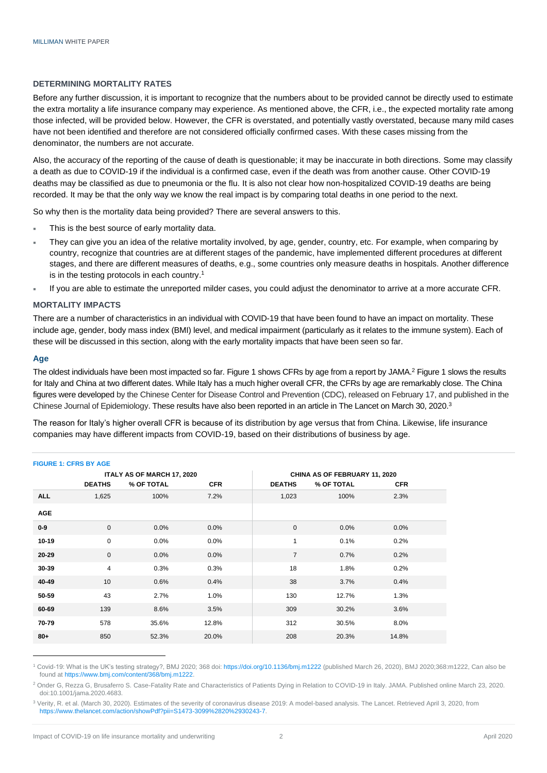#### **DETERMINING MORTALITY RATES**

Before any further discussion, it is important to recognize that the numbers about to be provided cannot be directly used to estimate the extra mortality a life insurance company may experience. As mentioned above, the CFR, i.e., the expected mortality rate among those infected, will be provided below. However, the CFR is overstated, and potentially vastly overstated, because many mild cases have not been identified and therefore are not considered officially confirmed cases. With these cases missing from the denominator, the numbers are not accurate.

Also, the accuracy of the reporting of the cause of death is questionable; it may be inaccurate in both directions. Some may classify a death as due to COVID-19 if the individual is a confirmed case, even if the death was from another cause. Other COVID-19 deaths may be classified as due to pneumonia or the flu. It is also not clear how non-hospitalized COVID-19 deaths are being recorded. It may be that the only way we know the real impact is by comparing total deaths in one period to the next.

So why then is the mortality data being provided? There are several answers to this.

- This is the best source of early mortality data.
- They can give you an idea of the relative mortality involved, by age, gender, country, etc. For example, when comparing by country, recognize that countries are at different stages of the pandemic, have implemented different procedures at different stages, and there are different measures of deaths, e.g., some countries only measure deaths in hospitals. Another difference is in the testing protocols in each country. 1
- If you are able to estimate the unreported milder cases, you could adjust the denominator to arrive at a more accurate CFR.

#### **MORTALITY IMPACTS**

There are a number of characteristics in an individual with COVID-19 that have been found to have an impact on mortality. These include age, gender, body mass index (BMI) level, and medical impairment (particularly as it relates to the immune system). Each of these will be discussed in this section, along with the early mortality impacts that have been seen so far.

#### **Age**

The oldest individuals have been most impacted so far. Figure 1 shows CFRs by age from a report by JAMA.<sup>2</sup> Figure 1 slows the results for Italy and China at two different dates. While Italy has a much higher overall CFR, the CFRs by age are remarkably close. The China figures were developed by the Chinese Center for Disease Control and Prevention (CDC), released on February 17, and published in the Chinese Journal of Epidemiology. These results have also been reported in an article in The Lancet on March 30, 2020.<sup>3</sup>

The reason for Italy's higher overall CFR is because of its distribution by age versus that from China. Likewise, life insurance companies may have different impacts from COVID-19, based on their distributions of business by age.

| <b>FIGURE 1: CFRS BY AGE</b> |               |                            |            |                |                               |            |  |
|------------------------------|---------------|----------------------------|------------|----------------|-------------------------------|------------|--|
|                              |               | ITALY AS OF MARCH 17, 2020 |            |                | CHINA AS OF FEBRUARY 11, 2020 |            |  |
|                              | <b>DEATHS</b> | % OF TOTAL                 | <b>CFR</b> | <b>DEATHS</b>  | % OF TOTAL                    | <b>CFR</b> |  |
| <b>ALL</b>                   | 1,625         | 100%                       | 7.2%       | 1,023          | 100%                          | 2.3%       |  |
| <b>AGE</b>                   |               |                            |            |                |                               |            |  |
| $0-9$                        | $\mathbf{0}$  | 0.0%                       | $0.0\%$    | $\mathbf 0$    | 0.0%                          | 0.0%       |  |
| $10 - 19$                    | $\mathbf 0$   | 0.0%                       | 0.0%       | $\mathbf{1}$   | 0.1%                          | 0.2%       |  |
| $20 - 29$                    | $\mathbf 0$   | 0.0%                       | 0.0%       | $\overline{7}$ | 0.7%                          | 0.2%       |  |
| 30-39                        | 4             | 0.3%                       | 0.3%       | 18             | 1.8%                          | 0.2%       |  |
| 40-49                        | 10            | 0.6%                       | 0.4%       | 38             | 3.7%                          | 0.4%       |  |
| 50-59                        | 43            | 2.7%                       | 1.0%       | 130            | 12.7%                         | 1.3%       |  |
| 60-69                        | 139           | 8.6%                       | 3.5%       | 309            | 30.2%                         | 3.6%       |  |
| 70-79                        | 578           | 35.6%                      | 12.8%      | 312            | 30.5%                         | 8.0%       |  |
| $80 +$                       | 850           | 52.3%                      | 20.0%      | 208            | 20.3%                         | 14.8%      |  |

#### <sup>1</sup> Covid-19: What is the UK's testing strategy?, BMJ 2020; 368 doi: <https://doi.org/10.1136/bmj.m1222> (published March 26, 2020), BMJ 2020;368:m1222, Can also be found a[t https://www.bmj.com/content/368/bmj.m1222.](https://www.bmj.com/content/368/bmj.m1222)

<sup>2</sup> Onder G, Rezza G, Brusaferro S. Case-Fatality Rate and Characteristics of Patients Dying in Relation to COVID-19 in Italy. JAMA. Published online March 23, 2020. doi:10.1001/jama.2020.4683.

<sup>&</sup>lt;sup>3</sup> Verity, R. et al. (March 30, 2020). Estimates of the severity of coronavirus disease 2019: A model-based analysis. The Lancet, Retrieved April 3, 2020, from [https://www.thelancet.com/action/showPdf?pii=S1473-3099%2820%2930243-7.](https://www.thelancet.com/action/showPdf?pii=S1473-3099%2820%2930243-7)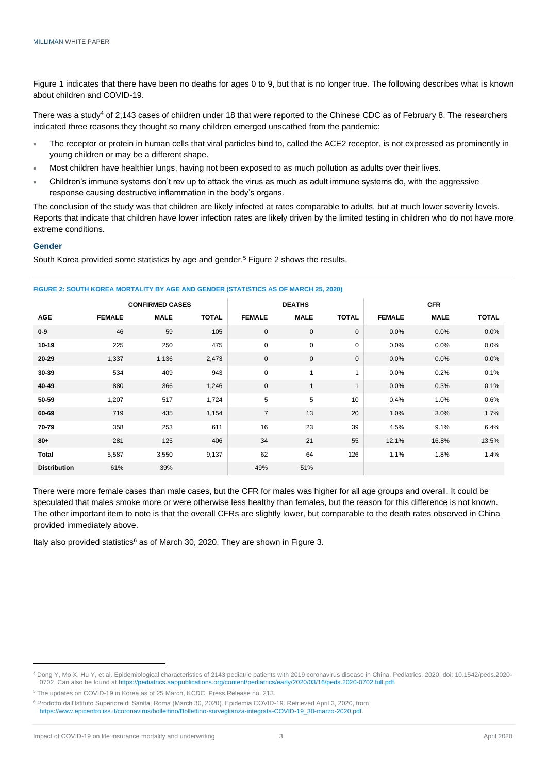Figure 1 indicates that there have been no deaths for ages 0 to 9, but that is no longer true. The following describes what is known about children and COVID-19.

There was a study<sup>4</sup> of 2,143 cases of children under 18 that were reported to the Chinese CDC as of February 8. The researchers indicated three reasons they thought so many children emerged unscathed from the pandemic:

- The receptor or protein in human cells that viral particles bind to, called the ACE2 receptor, is not expressed as prominently in young children or may be a different shape.
- Most children have healthier lungs, having not been exposed to as much pollution as adults over their lives.
- Children's immune systems don't rev up to attack the virus as much as adult immune systems do, with the aggressive response causing destructive inflammation in the body's organs.

The conclusion of the study was that children are likely infected at rates comparable to adults, but at much lower severity levels. Reports that indicate that children have lower infection rates are likely driven by the limited testing in children who do not have more extreme conditions.

#### **Gender**

South Korea provided some statistics by age and gender. <sup>5</sup> Figure 2 shows the results.

|                     | <b>CONFIRMED CASES</b> |             |              |                | <b>DEATHS</b> |              |               | <b>CFR</b>  |              |  |
|---------------------|------------------------|-------------|--------------|----------------|---------------|--------------|---------------|-------------|--------------|--|
| <b>AGE</b>          | <b>FEMALE</b>          | <b>MALE</b> | <b>TOTAL</b> | <b>FEMALE</b>  | <b>MALE</b>   | <b>TOTAL</b> | <b>FEMALE</b> | <b>MALE</b> | <b>TOTAL</b> |  |
| $0-9$               | 46                     | 59          | 105          | $\mathbf 0$    | $\mathbf 0$   | $\mathbf 0$  | 0.0%          | 0.0%        | 0.0%         |  |
| $10 - 19$           | 225                    | 250         | 475          | $\mathbf 0$    | 0             | $\mathbf 0$  | $0.0\%$       | 0.0%        | 0.0%         |  |
| $20 - 29$           | 1,337                  | 1,136       | 2,473        | $\mathbf 0$    | $\mathbf 0$   | $\mathbf 0$  | 0.0%          | 0.0%        | 0.0%         |  |
| 30-39               | 534                    | 409         | 943          | $\mathbf 0$    | $\mathbf{1}$  | 1            | 0.0%          | 0.2%        | 0.1%         |  |
| 40-49               | 880                    | 366         | 1,246        | $\mathbf 0$    | $\mathbf{1}$  | $\mathbf{1}$ | 0.0%          | 0.3%        | 0.1%         |  |
| 50-59               | 1,207                  | 517         | 1,724        | 5              | 5             | 10           | 0.4%          | 1.0%        | 0.6%         |  |
| 60-69               | 719                    | 435         | 1,154        | $\overline{7}$ | 13            | 20           | 1.0%          | 3.0%        | 1.7%         |  |
| 70-79               | 358                    | 253         | 611          | 16             | 23            | 39           | 4.5%          | 9.1%        | 6.4%         |  |
| $80 +$              | 281                    | 125         | 406          | 34             | 21            | 55           | 12.1%         | 16.8%       | 13.5%        |  |
| <b>Total</b>        | 5,587                  | 3,550       | 9,137        | 62             | 64            | 126          | 1.1%          | 1.8%        | 1.4%         |  |
| <b>Distribution</b> | 61%                    | 39%         |              | 49%            | 51%           |              |               |             |              |  |

**FIGURE 2: SOUTH KOREA MORTALITY BY AGE AND GENDER (STATISTICS AS OF MARCH 25, 2020)**

There were more female cases than male cases, but the CFR for males was higher for all age groups and overall. It could be speculated that males smoke more or were otherwise less healthy than females, but the reason for this difference is not known. The other important item to note is that the overall CFRs are slightly lower, but comparable to the death rates observed in China provided immediately above.

Italy also provided statistics<sup>6</sup> as of March 30, 2020. They are shown in Figure 3.

<sup>5</sup> [The updates on COVID-19 in Korea as of 25 March,](https://www.cdc.go.kr/board/board.es?mid=a30402000000&bid=0030&act=view&list_no=366640&tag=&nPage=1) KCDC, Press Release no. 213.

<sup>4</sup> Dong Y, Mo X, Hu Y, et al. Epidemiological characteristics of 2143 pediatric patients with 2019 coronavirus disease in China. Pediatrics. 2020; doi: 10.1542/peds.2020- 0702, Can also be found a[t https://pediatrics.aappublications.org/content/pediatrics/early/2020/03/16/peds.2020-0702.full.pdf.](https://pediatrics.aappublications.org/content/pediatrics/early/2020/03/16/peds.2020-0702.full.pdf)

<sup>6</sup> Prodotto dall'Istituto Superiore di Sanità, Roma (March 30, 2020). Epidemia COVID-19. Retrieved April 3, 2020, from [https://www.epicentro.iss.it/coronavirus/bollettino/Bollettino-sorveglianza-integrata-COVID-19\\_30-marzo-2020.pdf.](https://www.epicentro.iss.it/coronavirus/bollettino/Bollettino-sorveglianza-integrata-COVID-19_30-marzo-2020.pdf)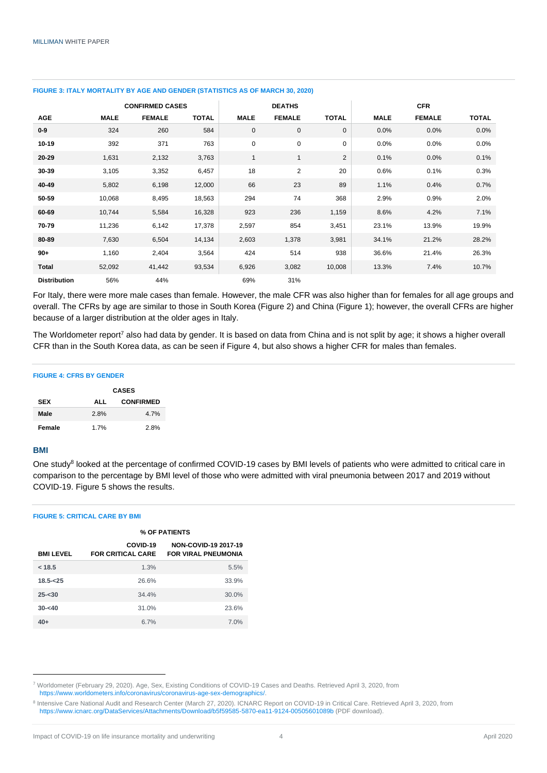|                     | <b>CONFIRMED CASES</b> |               |              | <b>DEATHS</b> |                |                | <b>CFR</b>  |               |              |
|---------------------|------------------------|---------------|--------------|---------------|----------------|----------------|-------------|---------------|--------------|
| <b>AGE</b>          | <b>MALE</b>            | <b>FEMALE</b> | <b>TOTAL</b> | <b>MALE</b>   | <b>FEMALE</b>  | <b>TOTAL</b>   | <b>MALE</b> | <b>FEMALE</b> | <b>TOTAL</b> |
| $0-9$               | 324                    | 260           | 584          | $\mathbf 0$   | $\mathbf 0$    | 0              | 0.0%        | 0.0%          | 0.0%         |
| $10 - 19$           | 392                    | 371           | 763          | $\pmb{0}$     | $\mathbf 0$    | 0              | 0.0%        | 0.0%          | 0.0%         |
| $20 - 29$           | 1,631                  | 2,132         | 3,763        | $\mathbf{1}$  | $\mathbf{1}$   | $\overline{c}$ | 0.1%        | 0.0%          | 0.1%         |
| 30-39               | 3,105                  | 3,352         | 6,457        | 18            | $\overline{2}$ | 20             | 0.6%        | 0.1%          | 0.3%         |
| 40-49               | 5,802                  | 6,198         | 12,000       | 66            | 23             | 89             | 1.1%        | 0.4%          | 0.7%         |
| 50-59               | 10,068                 | 8,495         | 18,563       | 294           | 74             | 368            | 2.9%        | 0.9%          | 2.0%         |
| 60-69               | 10,744                 | 5,584         | 16,328       | 923           | 236            | 1,159          | 8.6%        | 4.2%          | 7.1%         |
| 70-79               | 11,236                 | 6,142         | 17,378       | 2,597         | 854            | 3,451          | 23.1%       | 13.9%         | 19.9%        |
| 80-89               | 7,630                  | 6,504         | 14,134       | 2,603         | 1,378          | 3,981          | 34.1%       | 21.2%         | 28.2%        |
| $90+$               | 1,160                  | 2,404         | 3,564        | 424           | 514            | 938            | 36.6%       | 21.4%         | 26.3%        |
| Total               | 52,092                 | 41,442        | 93,534       | 6,926         | 3,082          | 10,008         | 13.3%       | 7.4%          | 10.7%        |
| <b>Distribution</b> | 56%                    | 44%           |              | 69%           | 31%            |                |             |               |              |

#### **FIGURE 3: ITALY MORTALITY BY AGE AND GENDER (STATISTICS AS OF MARCH 30, 2020)**

For Italy, there were more male cases than female. However, the male CFR was also higher than for females for all age groups and overall. The CFRs by age are similar to those in South Korea (Figure 2) and China (Figure 1); however, the overall CFRs are higher because of a larger distribution at the older ages in Italy.

The Worldometer report<sup>7</sup> also had data by gender. It is based on data from China and is not split by age; it shows a higher overall CFR than in the South Korea data, as can be seen if Figure 4, but also shows a higher CFR for males than females.

#### **FIGURE 4: CFRS BY GENDER**

|            | <b>CASES</b> |                  |  |  |  |
|------------|--------------|------------------|--|--|--|
| <b>SEX</b> | ALL          | <b>CONFIRMED</b> |  |  |  |
| Male       | 2.8%         | 4.7%             |  |  |  |
| Female     | 1.7%         | 2.8%             |  |  |  |

#### **BMI**

One study<sup>8</sup> looked at the percentage of confirmed COVID-19 cases by BMI levels of patients who were admitted to critical care in comparison to the percentage by BMI level of those who were admitted with viral pneumonia between 2017 and 2019 without COVID-19. Figure 5 shows the results.

#### **FIGURE 5: CRITICAL CARE BY BMI**

|                 | % OF PATIENTS                        |                                                    |  |  |  |
|-----------------|--------------------------------------|----------------------------------------------------|--|--|--|
| <b>BMILEVEL</b> | COVID-19<br><b>FOR CRITICAL CARE</b> | NON-COVID-19 2017-19<br><b>FOR VIRAL PNEUMONIA</b> |  |  |  |
| < 18.5          | 1.3%                                 | 5.5%                                               |  |  |  |
| $18.5 - 25$     | 26.6%                                | 33.9%                                              |  |  |  |
| $25 - 30$       | 34.4%                                | 30.0%                                              |  |  |  |
| $30 - 40$       | 31.0%                                | 23.6%                                              |  |  |  |
| $40+$           | 6.7%                                 | 7.0%                                               |  |  |  |

<sup>7</sup> Worldometer (February 29, 2020). Age, Sex, Existing Conditions of COVID-19 Cases and Deaths. Retrieved April 3, 2020, from [https://www.worldometers.info/coronavirus/coronavirus-age-sex-demographics/.](https://www.worldometers.info/coronavirus/coronavirus-age-sex-demographics/)

<sup>&</sup>lt;sup>8</sup> Intensive Care National Audit and Research Center (March 27, 2020). ICNARC Report on COVID-19 in Critical Care. Retrieved April 3, 2020, from <https://www.icnarc.org/DataServices/Attachments/Download/b5f59585-5870-ea11-9124-00505601089b> (PDF download).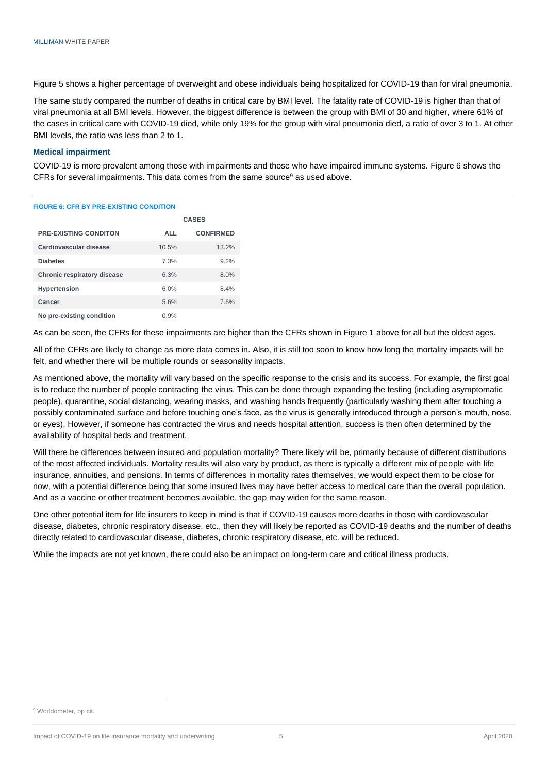Figure 5 shows a higher percentage of overweight and obese individuals being hospitalized for COVID-19 than for viral pneumonia.

The same study compared the number of deaths in critical care by BMI level. The fatality rate of COVID-19 is higher than that of viral pneumonia at all BMI levels. However, the biggest difference is between the group with BMI of 30 and higher, where 61% of the cases in critical care with COVID-19 died, while only 19% for the group with viral pneumonia died, a ratio of over 3 to 1. At other BMI levels, the ratio was less than 2 to 1.

#### **Medical impairment**

COVID-19 is more prevalent among those with impairments and those who have impaired immune systems. Figure 6 shows the CFRs for several impairments. This data comes from the same source $9$  as used above.

#### **FIGURE 6: CFR BY PRE-EXISTING CONDITION**

|                                    | <b>CASES</b> |                  |  |
|------------------------------------|--------------|------------------|--|
| <b>PRE-EXISTING CONDITON</b>       | ALL          | <b>CONFIRMED</b> |  |
| Cardiovascular disease             | 10.5%        | 13.2%            |  |
| <b>Diabetes</b>                    | 7.3%         | 9.2%             |  |
| <b>Chronic respiratory disease</b> | 6.3%         | 8.0%             |  |
| <b>Hypertension</b>                | 6.0%         | 8.4%             |  |
| Cancer                             | 5.6%         | 7.6%             |  |
| No pre-existing condition          | 0.9%         |                  |  |

As can be seen, the CFRs for these impairments are higher than the CFRs shown in Figure 1 above for all but the oldest ages.

All of the CFRs are likely to change as more data comes in. Also, it is still too soon to know how long the mortality impacts will be felt, and whether there will be multiple rounds or seasonality impacts.

As mentioned above, the mortality will vary based on the specific response to the crisis and its success. For example, the first goal is to reduce the number of people contracting the virus. This can be done through expanding the testing (including asymptomatic people), quarantine, social distancing, wearing masks, and washing hands frequently (particularly washing them after touching a possibly contaminated surface and before touching one's face, as the virus is generally introduced through a person's mouth, nose, or eyes). However, if someone has contracted the virus and needs hospital attention, success is then often determined by the availability of hospital beds and treatment.

Will there be differences between insured and population mortality? There likely will be, primarily because of different distributions of the most affected individuals. Mortality results will also vary by product, as there is typically a different mix of people with life insurance, annuities, and pensions. In terms of differences in mortality rates themselves, we would expect them to be close for now, with a potential difference being that some insured lives may have better access to medical care than the overall population. And as a vaccine or other treatment becomes available, the gap may widen for the same reason.

One other potential item for life insurers to keep in mind is that if COVID-19 causes more deaths in those with cardiovascular disease, diabetes, chronic respiratory disease, etc., then they will likely be reported as COVID-19 deaths and the number of deaths directly related to cardiovascular disease, diabetes, chronic respiratory disease, etc. will be reduced.

While the impacts are not yet known, there could also be an impact on long-term care and critical illness products.

<sup>&</sup>lt;sup>9</sup> Worldometer, op cit.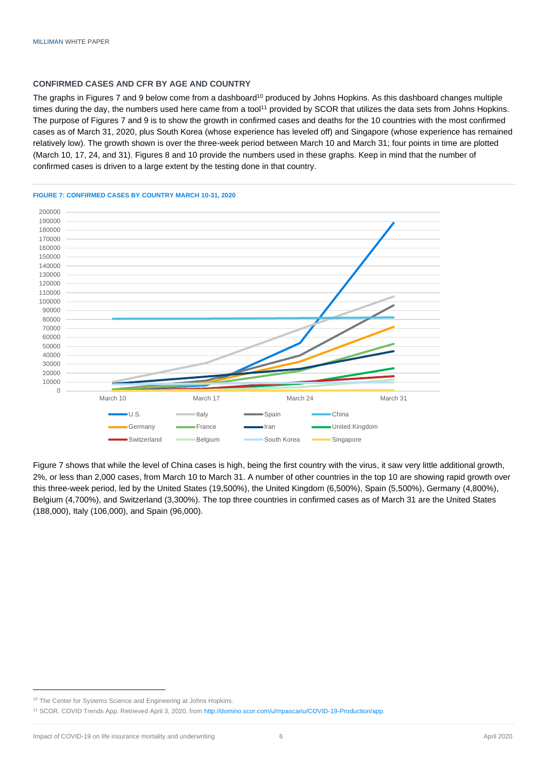#### **CONFIRMED CASES AND CFR BY AGE AND COUNTRY**

The graphs in Figures 7 and 9 below come from a dashboard<sup>10</sup> produced by Johns Hopkins. As this dashboard changes multiple times during the day, the numbers used here came from a tool<sup>11</sup> provided by SCOR that utilizes the data sets from Johns Hopkins. The purpose of Figures 7 and 9 is to show the growth in confirmed cases and deaths for the 10 countries with the most confirmed cases as of March 31, 2020, plus South Korea (whose experience has leveled off) and Singapore (whose experience has remained relatively low). The growth shown is over the three-week period between March 10 and March 31; four points in time are plotted (March 10, 17, 24, and 31). Figures 8 and 10 provide the numbers used in these graphs. Keep in mind that the number of confirmed cases is driven to a large extent by the testing done in that country.



#### **FIGURE 7: CONFIRMED CASES BY COUNTRY MARCH 10-31, 2020**

Figure 7 shows that while the level of China cases is high, being the first country with the virus, it saw very little additional growth, 2%, or less than 2,000 cases, from March 10 to March 31. A number of other countries in the top 10 are showing rapid growth over this three-week period, led by the United States (19,500%), the United Kingdom (6,500%), Spain (5,500%), Germany (4,800%), Belgium (4,700%), and Switzerland (3,300%). The top three countries in confirmed cases as of March 31 are the United States (188,000), Italy (106,000), and Spain (96,000).

<sup>&</sup>lt;sup>10</sup> The Center for Systems Science and Engineering at Johns Hopkins.

<sup>11</sup> SCOR. COVID Trends App. Retrieved April 3, 2020, fro[m http://domino.scor.com/u/mpascariu/COVID-19-Production/app.](http://domino.scor.com/u/mpascariu/COVID-19-Production/app)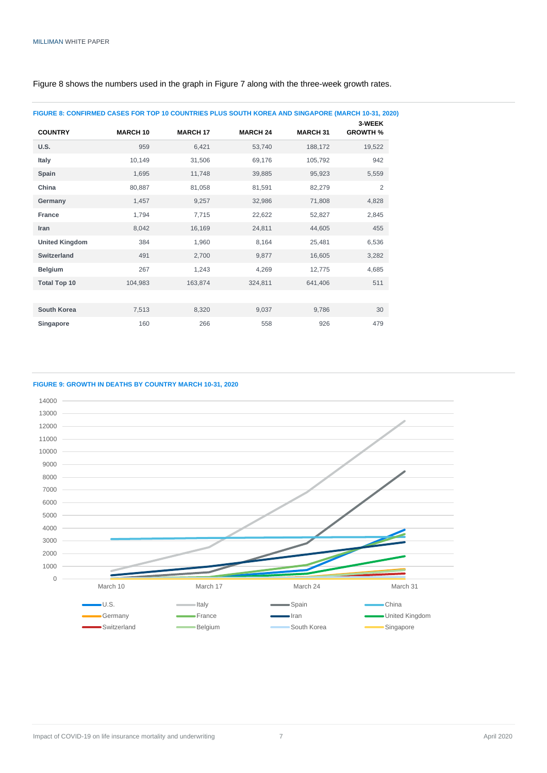| FIGURE 8: CONFIRMED CASES FOR TOP 10 COUNTRIES PLUS SOUTH KOREA AND SINGAPORE (MARCH 10-31, 2020) |                 |                 |                 |                 |                           |
|---------------------------------------------------------------------------------------------------|-----------------|-----------------|-----------------|-----------------|---------------------------|
| <b>COUNTRY</b>                                                                                    | <b>MARCH 10</b> | <b>MARCH 17</b> | <b>MARCH 24</b> | <b>MARCH 31</b> | 3-WEEK<br><b>GROWTH %</b> |
| <b>U.S.</b>                                                                                       | 959             | 6.421           | 53,740          | 188,172         | 19,522                    |
| Italy                                                                                             | 10,149          | 31,506          | 69,176          | 105,792         | 942                       |
| Spain                                                                                             | 1,695           | 11,748          | 39,885          | 95,923          | 5,559                     |
| China                                                                                             | 80,887          | 81,058          | 81,591          | 82,279          | 2                         |
| Germany                                                                                           | 1,457           | 9,257           | 32,986          | 71,808          | 4,828                     |
| France                                                                                            | 1,794           | 7,715           | 22,622          | 52,827          | 2,845                     |
| Iran                                                                                              | 8,042           | 16,169          | 24,811          | 44,605          | 455                       |
| <b>United Kingdom</b>                                                                             | 384             | 1,960           | 8,164           | 25,481          | 6,536                     |
| <b>Switzerland</b>                                                                                | 491             | 2,700           | 9,877           | 16,605          | 3,282                     |
| <b>Belgium</b>                                                                                    | 267             | 1,243           | 4,269           | 12,775          | 4,685                     |
| <b>Total Top 10</b>                                                                               | 104,983         | 163,874         | 324,811         | 641,406         | 511                       |
|                                                                                                   |                 |                 |                 |                 |                           |
| <b>South Korea</b>                                                                                | 7,513           | 8,320           | 9,037           | 9,786           | 30                        |
| Singapore                                                                                         | 160             | 266             | 558             | 926             | 479                       |
|                                                                                                   |                 |                 |                 |                 |                           |

Figure 8 shows the numbers used in the graph in Figure 7 along with the three-week growth rates.

#### **FIGURE 9: GROWTH IN DEATHS BY COUNTRY MARCH 10-31, 2020**

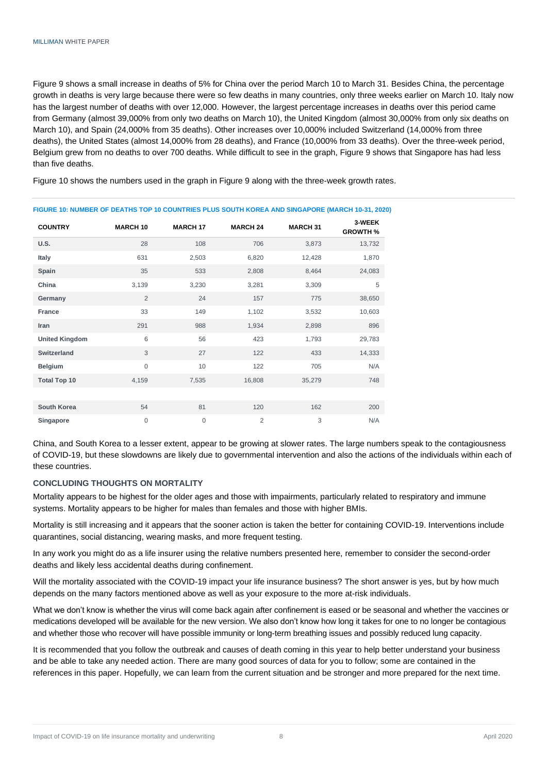Figure 9 shows a small increase in deaths of 5% for China over the period March 10 to March 31. Besides China, the percentage growth in deaths is very large because there were so few deaths in many countries, only three weeks earlier on March 10. Italy now has the largest number of deaths with over 12,000. However, the largest percentage increases in deaths over this period came from Germany (almost 39,000% from only two deaths on March 10), the United Kingdom (almost 30,000% from only six deaths on March 10), and Spain (24,000% from 35 deaths). Other increases over 10,000% included Switzerland (14,000% from three deaths), the United States (almost 14,000% from 28 deaths), and France (10,000% from 33 deaths). Over the three-week period, Belgium grew from no deaths to over 700 deaths. While difficult to see in the graph, Figure 9 shows that Singapore has had less than five deaths.

Figure 10 shows the numbers used in the graph in Figure 9 along with the three-week growth rates.

| <u>UUR TU, NUMBER OF BEATING TUL TU UUUNTINEUT EUU UUUTI NUREA AND UMUAI URE MANUH TU UI, EUE</u> |                 |                 |                 |                 |                           |
|---------------------------------------------------------------------------------------------------|-----------------|-----------------|-----------------|-----------------|---------------------------|
| <b>COUNTRY</b>                                                                                    | <b>MARCH 10</b> | <b>MARCH 17</b> | <b>MARCH 24</b> | <b>MARCH 31</b> | 3-WEEK<br><b>GROWTH %</b> |
| <b>U.S.</b>                                                                                       | 28              | 108             | 706             | 3,873           | 13,732                    |
| Italy                                                                                             | 631             | 2,503           | 6,820           | 12,428          | 1,870                     |
| Spain                                                                                             | 35              | 533             | 2,808           | 8,464           | 24,083                    |
| China                                                                                             | 3,139           | 3,230           | 3,281           | 3,309           | 5                         |
| Germany                                                                                           | $\overline{2}$  | 24              | 157             | 775             | 38,650                    |
| <b>France</b>                                                                                     | 33              | 149             | 1,102           | 3,532           | 10,603                    |
| Iran                                                                                              | 291             | 988             | 1,934           | 2,898           | 896                       |
| <b>United Kingdom</b>                                                                             | 6               | 56              | 423             | 1,793           | 29,783                    |
| <b>Switzerland</b>                                                                                | 3               | 27              | 122             | 433             | 14,333                    |
| <b>Belgium</b>                                                                                    | $\mathbf{0}$    | 10              | 122             | 705             | N/A                       |
| <b>Total Top 10</b>                                                                               | 4,159           | 7,535           | 16,808          | 35,279          | 748                       |
|                                                                                                   |                 |                 |                 |                 |                           |
| <b>South Korea</b>                                                                                | 54              | 81              | 120             | 162             | 200                       |
| Singapore                                                                                         | $\overline{0}$  | 0               | $\overline{2}$  | 3               | N/A                       |
|                                                                                                   |                 |                 |                 |                 |                           |

**FIGURE 10: NUMBER OF DEATHS TOP 10 COUNTRIES PLUS SOUTH KOREA AND SINGAPORE (MARCH 10-31, 2020)**

China, and South Korea to a lesser extent, appear to be growing at slower rates. The large numbers speak to the contagiousness of COVID-19, but these slowdowns are likely due to governmental intervention and also the actions of the individuals within each of these countries.

#### **CONCLUDING THOUGHTS ON MORTALITY**

Mortality appears to be highest for the older ages and those with impairments, particularly related to respiratory and immune systems. Mortality appears to be higher for males than females and those with higher BMIs.

Mortality is still increasing and it appears that the sooner action is taken the better for containing COVID-19. Interventions include quarantines, social distancing, wearing masks, and more frequent testing.

In any work you might do as a life insurer using the relative numbers presented here, remember to consider the second-order deaths and likely less accidental deaths during confinement.

Will the mortality associated with the COVID-19 impact your life insurance business? The short answer is yes, but by how much depends on the many factors mentioned above as well as your exposure to the more at-risk individuals.

What we don't know is whether the virus will come back again after confinement is eased or be seasonal and whether the vaccines or medications developed will be available for the new version. We also don't know how long it takes for one to no longer be contagious and whether those who recover will have possible immunity or long-term breathing issues and possibly reduced lung capacity.

It is recommended that you follow the outbreak and causes of death coming in this year to help better understand your business and be able to take any needed action. There are many good sources of data for you to follow; some are contained in the references in this paper. Hopefully, we can learn from the current situation and be stronger and more prepared for the next time.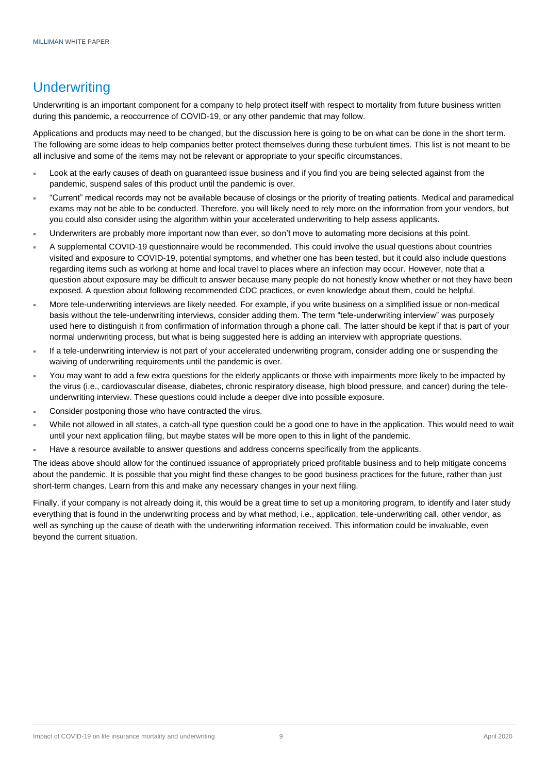## **Underwriting**

Underwriting is an important component for a company to help protect itself with respect to mortality from future business written during this pandemic, a reoccurrence of COVID-19, or any other pandemic that may follow.

Applications and products may need to be changed, but the discussion here is going to be on what can be done in the short term. The following are some ideas to help companies better protect themselves during these turbulent times. This list is not meant to be all inclusive and some of the items may not be relevant or appropriate to your specific circumstances.

- Look at the early causes of death on guaranteed issue business and if you find you are being selected against from the pandemic, suspend sales of this product until the pandemic is over.
- "Current" medical records may not be available because of closings or the priority of treating patients. Medical and paramedical exams may not be able to be conducted. Therefore, you will likely need to rely more on the information from your vendors, but you could also consider using the algorithm within your accelerated underwriting to help assess applicants.
- Underwriters are probably more important now than ever, so don't move to automating more decisions at this point.
- A supplemental COVID-19 questionnaire would be recommended. This could involve the usual questions about countries visited and exposure to COVID-19, potential symptoms, and whether one has been tested, but it could also include questions regarding items such as working at home and local travel to places where an infection may occur. However, note that a question about exposure may be difficult to answer because many people do not honestly know whether or not they have been exposed. A question about following recommended CDC practices, or even knowledge about them, could be helpful.
- More tele-underwriting interviews are likely needed. For example, if you write business on a simplified issue or non-medical basis without the tele-underwriting interviews, consider adding them. The term "tele-underwriting interview" was purposely used here to distinguish it from confirmation of information through a phone call. The latter should be kept if that is part of your normal underwriting process, but what is being suggested here is adding an interview with appropriate questions.
- If a tele-underwriting interview is not part of your accelerated underwriting program, consider adding one or suspending the waiving of underwriting requirements until the pandemic is over.
- You may want to add a few extra questions for the elderly applicants or those with impairments more likely to be impacted by the virus (i.e., cardiovascular disease, diabetes, chronic respiratory disease, high blood pressure, and cancer) during the teleunderwriting interview. These questions could include a deeper dive into possible exposure.
- Consider postponing those who have contracted the virus.
- While not allowed in all states, a catch-all type question could be a good one to have in the application. This would need to wait until your next application filing, but maybe states will be more open to this in light of the pandemic.
- Have a resource available to answer questions and address concerns specifically from the applicants.

The ideas above should allow for the continued issuance of appropriately priced profitable business and to help mitigate concerns about the pandemic. It is possible that you might find these changes to be good business practices for the future, rather than just short-term changes. Learn from this and make any necessary changes in your next filing.

Finally, if your company is not already doing it, this would be a great time to set up a monitoring program, to identify and later study everything that is found in the underwriting process and by what method, i.e., application, tele-underwriting call, other vendor, as well as synching up the cause of death with the underwriting information received. This information could be invaluable, even beyond the current situation.